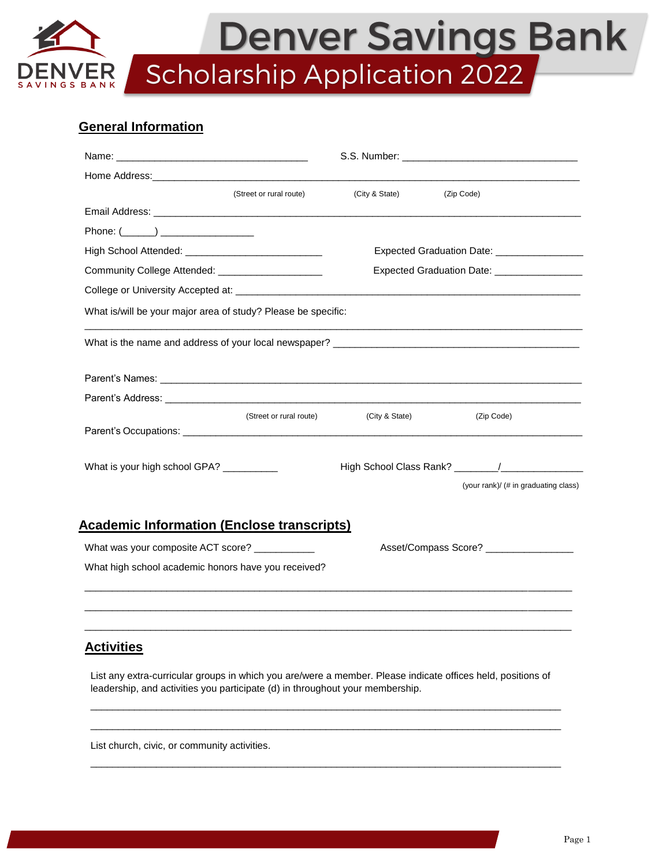# Denver Savings Bank Scholarship Application 2022 **NGS BANK**

## **General Information**

|                                                                                                                                                                                                                                | S.S. Number: <u>with a series of the series of the series of the series of the series of the series of</u> |                                      |  |
|--------------------------------------------------------------------------------------------------------------------------------------------------------------------------------------------------------------------------------|------------------------------------------------------------------------------------------------------------|--------------------------------------|--|
| Home Address: the contract of the contract of the contract of the contract of the contract of the contract of the contract of the contract of the contract of the contract of the contract of the contract of the contract of  |                                                                                                            |                                      |  |
| (Street or rural route)                                                                                                                                                                                                        | (City & State)                                                                                             | (Zip Code)                           |  |
|                                                                                                                                                                                                                                |                                                                                                            |                                      |  |
| Phone: $(\_\_)$                                                                                                                                                                                                                |                                                                                                            |                                      |  |
|                                                                                                                                                                                                                                | Expected Graduation Date: _____________________                                                            |                                      |  |
| Community College Attended: ______________________                                                                                                                                                                             | Expected Graduation Date: ___________________                                                              |                                      |  |
|                                                                                                                                                                                                                                |                                                                                                            |                                      |  |
| What is/will be your major area of study? Please be specific:                                                                                                                                                                  |                                                                                                            |                                      |  |
|                                                                                                                                                                                                                                |                                                                                                            |                                      |  |
| Parent's Names: Names: Names: Names: Names: Names: Names: Names: Names: Names: Names: Names: Names: Names: Names: Names: Names: Names: Names: Names: Names: Names: Names: Names: Names: Names: Names: Names: Names: Names: Nam |                                                                                                            |                                      |  |
| Parent's Address: the contract of the contract of the contract of the contract of the contract of the contract of the contract of the contract of the contract of the contract of the contract of the contract of the contract |                                                                                                            |                                      |  |
| (Street or rural route)                                                                                                                                                                                                        | (City & State)                                                                                             | (Zip Code)                           |  |
|                                                                                                                                                                                                                                |                                                                                                            |                                      |  |
| What is your high school GPA? __________                                                                                                                                                                                       |                                                                                                            |                                      |  |
|                                                                                                                                                                                                                                |                                                                                                            | (your rank)/ (# in graduating class) |  |
| <b>Academic Information (Enclose transcripts)</b>                                                                                                                                                                              |                                                                                                            |                                      |  |
| What was your composite ACT score? ___________                                                                                                                                                                                 | Asset/Compass Score? _________________                                                                     |                                      |  |
| What high school academic honors have you received?                                                                                                                                                                            |                                                                                                            |                                      |  |
|                                                                                                                                                                                                                                |                                                                                                            |                                      |  |
|                                                                                                                                                                                                                                |                                                                                                            |                                      |  |
| <b>Activities</b>                                                                                                                                                                                                              |                                                                                                            |                                      |  |

List any extra-curricular groups in which you are/were a member. Please indicate offices held, positions of leadership, and activities you participate (d) in throughout your membership.

\_\_\_\_\_\_\_\_\_\_\_\_\_\_\_\_\_\_\_\_\_\_\_\_\_\_\_\_\_\_\_\_\_\_\_\_\_\_\_\_\_\_\_\_\_\_\_\_\_\_\_\_\_\_\_\_\_\_\_\_\_\_\_\_\_\_\_\_\_\_\_\_\_\_\_\_\_\_\_\_\_\_\_\_\_\_ \_\_\_\_\_\_\_\_\_\_\_\_\_\_\_\_\_\_\_\_\_\_\_\_\_\_\_\_\_\_\_\_\_\_\_\_\_\_\_\_\_\_\_\_\_\_\_\_\_\_\_\_\_\_\_\_\_\_\_\_\_\_\_\_\_\_\_\_\_\_\_\_\_\_\_\_\_\_\_\_\_\_\_\_\_\_

\_\_\_\_\_\_\_\_\_\_\_\_\_\_\_\_\_\_\_\_\_\_\_\_\_\_\_\_\_\_\_\_\_\_\_\_\_\_\_\_\_\_\_\_\_\_\_\_\_\_\_\_\_\_\_\_\_\_\_\_\_\_\_\_\_\_\_\_\_\_\_\_\_\_\_\_\_\_\_\_\_\_\_\_\_\_

List church, civic, or community activities.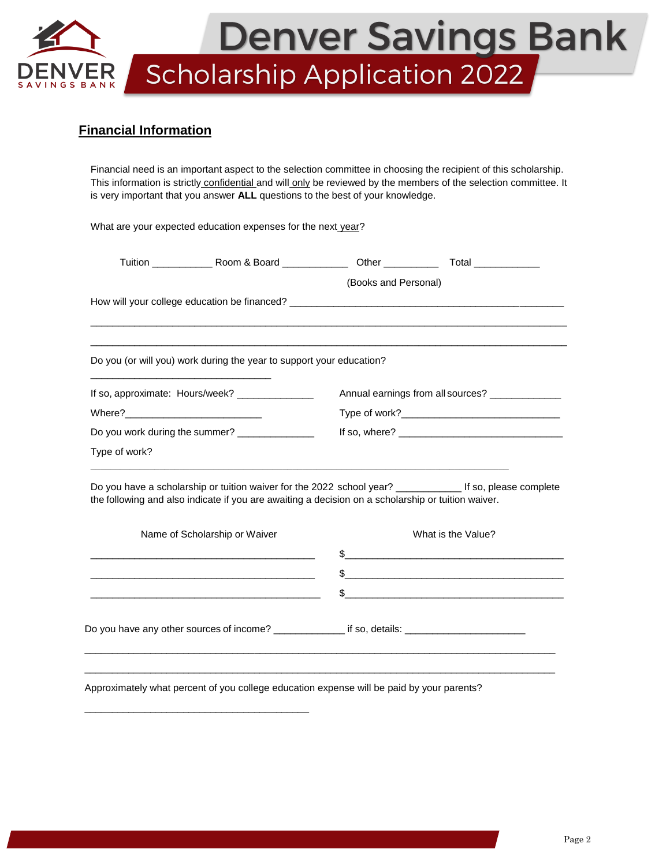

## **Financial Information**

Financial need is an important aspect to the selection committee in choosing the recipient of this scholarship. This information is strictly confidential and will only be reviewed by the members of the selection committee. It is very important that you answer **ALL** questions to the best of your knowledge.

What are your expected education expenses for the next year? Tuition \_\_\_\_\_\_\_\_\_\_\_ Room & Board \_\_\_\_\_\_\_\_\_\_\_\_ Other \_\_\_\_\_\_\_\_\_\_ Total \_\_\_\_\_\_\_\_\_\_\_\_ (Books and Personal) How will your college education be financed? \_\_\_\_\_\_\_\_\_\_\_\_\_\_\_\_\_\_\_\_\_\_\_\_\_\_\_\_\_\_\_\_\_\_\_ \_\_\_\_\_\_\_\_\_\_\_\_\_\_\_\_\_\_\_\_\_\_\_\_\_\_\_\_\_\_\_\_\_\_\_\_\_\_\_\_\_\_\_\_\_\_\_\_\_\_\_\_\_\_\_\_\_\_\_\_\_\_\_\_\_\_\_\_\_\_\_\_\_\_\_\_\_\_\_\_\_\_\_\_\_\_\_ \_\_\_\_\_\_\_\_\_\_\_\_\_\_\_\_\_\_\_\_\_\_\_\_\_\_\_\_\_\_\_\_\_\_\_\_\_\_\_\_\_\_\_\_\_\_\_\_\_\_\_\_\_\_\_\_\_\_\_\_\_\_\_\_\_\_\_\_\_\_\_\_\_\_\_\_\_\_\_\_\_\_\_\_\_\_\_ Do you (or will you) work during the year to support your education? \_\_\_\_\_\_\_\_\_\_\_\_\_\_\_\_\_\_\_\_\_\_\_\_\_\_\_\_\_\_\_\_\_ If so, approximate: Hours/week? \_\_\_\_\_\_\_\_\_\_\_\_\_\_\_\_ Annual earnings from all sources? \_\_\_\_\_\_\_\_\_\_\_ Where?\_\_\_\_\_\_\_\_\_\_\_\_\_\_\_\_\_\_\_\_\_\_\_\_\_ Type of work?\_\_\_\_\_\_\_\_\_\_\_\_\_\_\_\_\_\_\_\_\_\_\_\_\_\_\_\_\_ Do you work during the summer? \_\_\_\_\_\_\_\_\_\_\_\_\_\_ If so, where? \_\_\_\_\_\_\_\_\_\_\_\_\_\_\_\_\_\_\_\_\_\_\_\_\_\_\_\_\_\_ Type of work?  $\_$  ,  $\_$  ,  $\_$  ,  $\_$  ,  $\_$  ,  $\_$  ,  $\_$  ,  $\_$  ,  $\_$  ,  $\_$  ,  $\_$  ,  $\_$  ,  $\_$  ,  $\_$  ,  $\_$  ,  $\_$  ,  $\_$  ,  $\_$  ,  $\_$  ,  $\_$  ,  $\_$  ,  $\_$  ,  $\_$  ,  $\_$  ,  $\_$  ,  $\_$  ,  $\_$  ,  $\_$  ,  $\_$  ,  $\_$  ,  $\_$  ,  $\_$  ,  $\_$  ,  $\_$  ,  $\_$  ,  $\_$  ,  $\_$  , Do you have a scholarship or tuition waiver for the 2022 school year? \_\_\_\_\_\_\_\_\_\_\_\_\_\_\_ If so, please complete the following and also indicate if you are awaiting a decision on a scholarship or tuition waiver. Name of Scholarship or Waiver What is the Value?  $\frac{1}{2}$  $\mathfrak s$  $\mathbb{S}$ Do you have any other sources of income? \_\_\_\_\_\_\_\_\_\_\_\_\_ if so, details: \_\_\_\_\_\_\_\_\_  $\_$  , and the set of the set of the set of the set of the set of the set of the set of the set of the set of the set of the set of the set of the set of the set of the set of the set of the set of the set of the set of th \_\_\_\_\_\_\_\_\_\_\_\_\_\_\_\_\_\_\_\_\_\_\_\_\_\_\_\_\_\_\_\_\_\_\_\_\_\_\_\_\_\_\_\_\_\_\_\_\_\_\_\_\_\_\_\_\_\_\_\_\_\_\_\_\_\_\_\_\_\_\_\_\_\_\_\_\_\_\_\_\_\_\_\_\_\_

Approximately what percent of you college education expense will be paid by your parents?

\_\_\_\_\_\_\_\_\_\_\_\_\_\_\_\_\_\_\_\_\_\_\_\_\_\_\_\_\_\_\_\_\_\_\_\_\_\_\_\_\_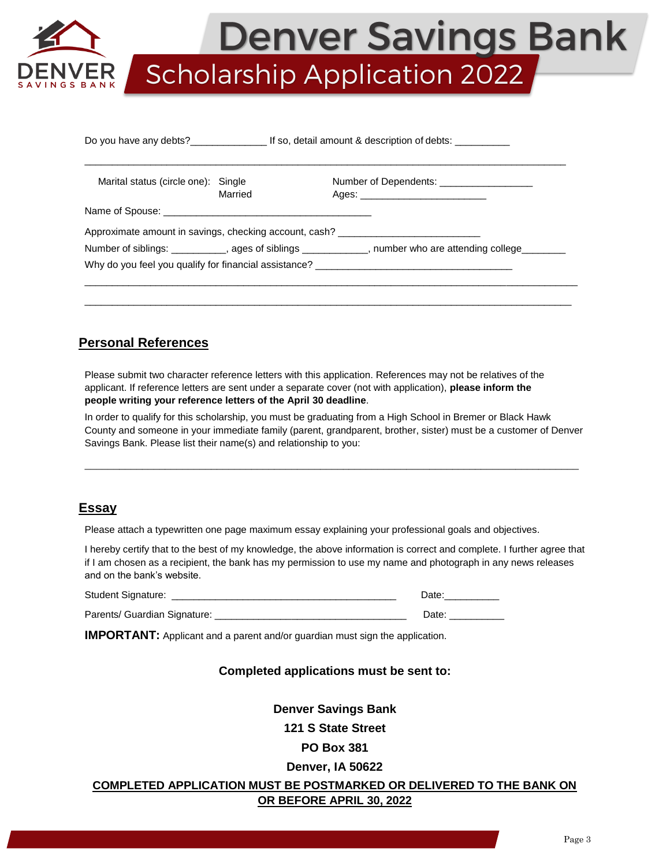

Denver Savings Bank Scholarship Application 2022

| Marital status (circle one): Single |         | Number of Dependents: ____________________                                                                |  |
|-------------------------------------|---------|-----------------------------------------------------------------------------------------------------------|--|
|                                     | Married |                                                                                                           |  |
|                                     |         | Approximate amount in savings, checking account, cash?                                                    |  |
|                                     |         | Number of siblings: ____________, ages of siblings ____________, number who are attending college________ |  |
|                                     |         | Why do you feel you qualify for financial assistance? ___________________________                         |  |
|                                     |         |                                                                                                           |  |

\_\_\_\_\_\_\_\_\_\_\_\_\_\_\_\_\_\_\_\_\_\_\_\_\_\_\_\_\_\_\_\_\_\_\_\_\_\_\_\_\_\_\_\_\_\_\_\_\_\_\_\_\_\_\_\_\_\_\_\_\_\_\_\_\_\_\_\_\_\_\_\_\_\_\_\_\_\_\_\_\_\_\_\_\_\_\_\_\_

## **Personal References**

Please submit two character reference letters with this application. References may not be relatives of the applicant. If reference letters are sent under a separate cover (not with application), **please inform the people writing your reference letters of the April 30 deadline**.

In order to qualify for this scholarship, you must be graduating from a High School in Bremer or Black Hawk County and someone in your immediate family (parent, grandparent, brother, sister) must be a customer of Denver Savings Bank. Please list their name(s) and relationship to you:

 $\_$  , and the set of the set of the set of the set of the set of the set of the set of the set of the set of the set of the set of the set of the set of the set of the set of the set of the set of the set of the set of th

## **Essay**

Please attach a typewritten one page maximum essay explaining your professional goals and objectives.

I hereby certify that to the best of my knowledge, the above information is correct and complete. I further agree that if I am chosen as a recipient, the bank has my permission to use my name and photograph in any news releases and on the bank's website.

| <b>Student Signature:</b>    | Date. |
|------------------------------|-------|
| Parents/ Guardian Signature: | Date. |

**IMPORTANT:** Applicant and a parent and/or guardian must sign the application.

## **Completed applications must be sent to:**

**Denver Savings Bank** 

**121 S State Street** 

#### **PO Box 381**

#### **Denver, IA 50622**

## **COMPLETED APPLICATION MUST BE POSTMARKED OR DELIVERED TO THE BANK ON OR BEFORE APRIL 30, 2022**